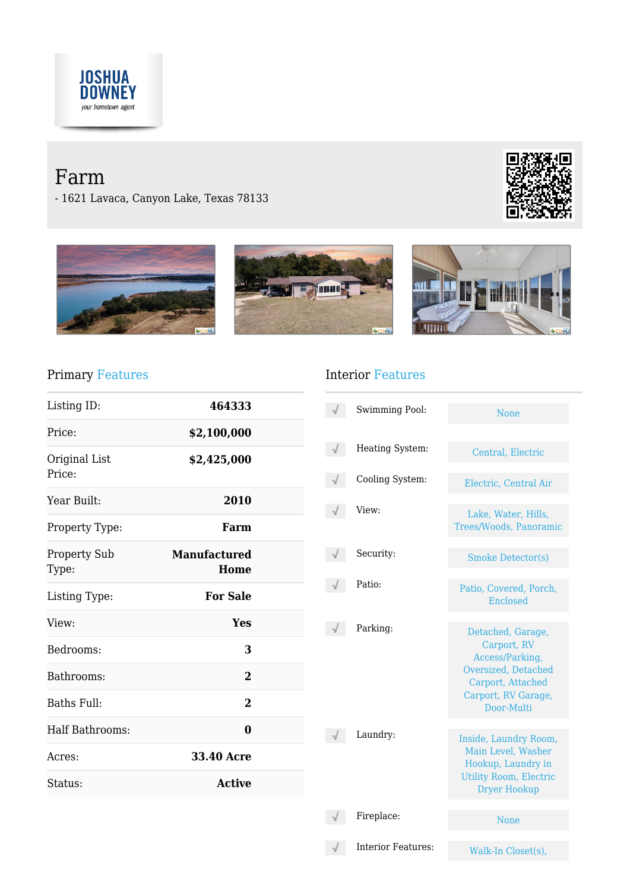

# Farm

- 1621 Lavaca, Canyon Lake, Texas 78133









## Primary Features

| Listing ID:                  | 464333                      |
|------------------------------|-----------------------------|
| Price:                       | \$2,100,000                 |
| Original List<br>Price:      | \$2,425,000                 |
| Year Built:                  | 2010                        |
| Property Type:               | Farm                        |
| <b>Property Sub</b><br>Type: | <b>Manufactured</b><br>Home |
| Listing Type:                | <b>For Sale</b>             |
| View:                        | Yes                         |
| Bedrooms:                    | 3                           |
| Bathrooms:                   | $\overline{2}$              |
| Baths Full:                  | $\overline{2}$              |
| Half Bathrooms:              | 0                           |
| Acres:                       | <b>33.40 Acre</b>           |
| Status:                      | <b>Active</b>               |

# Interior Features

| Swimming Pool:            | <b>None</b>                                                                                                                          |
|---------------------------|--------------------------------------------------------------------------------------------------------------------------------------|
| Heating System:           | Central, Electric                                                                                                                    |
| Cooling System:           | Electric, Central Air                                                                                                                |
| View:                     | Lake, Water, Hills,<br>Trees/Woods, Panoramic                                                                                        |
| Security:                 | <b>Smoke Detector(s)</b>                                                                                                             |
| Patio:                    | Patio, Covered, Porch,<br>Enclosed                                                                                                   |
| Parking:                  | Detached, Garage,<br>Carport, RV<br>Access/Parking,<br>Oversized, Detached<br>Carport, Attached<br>Carport, RV Garage,<br>Door-Multi |
| Laundry:                  | Inside, Laundry Room,<br>Main Level, Washer<br>Hookup, Laundry in<br><b>Utility Room, Electric</b><br><b>Dryer Hookup</b>            |
| Fireplace:                | <b>None</b>                                                                                                                          |
| <b>Interior Features:</b> | Walk-In Closet(s),                                                                                                                   |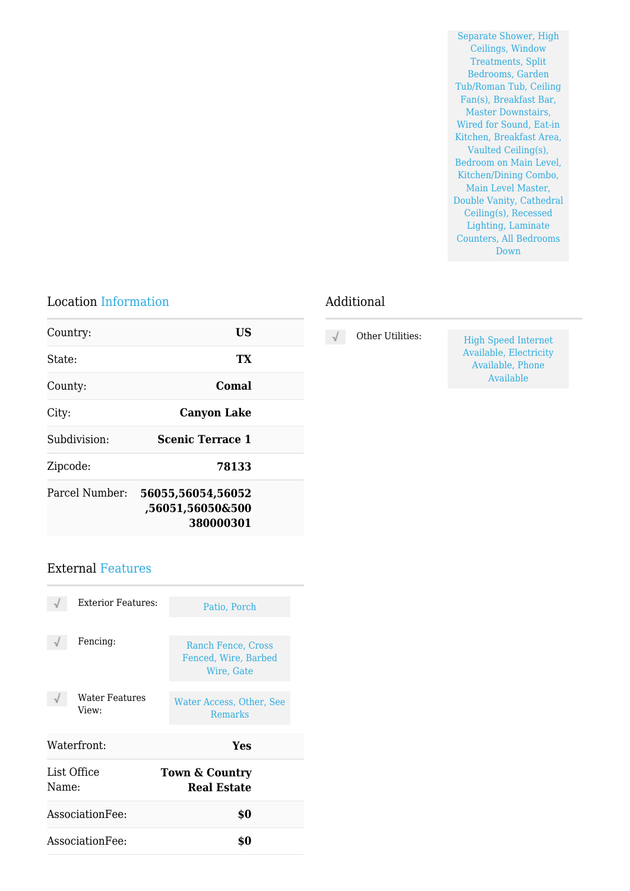Separate Shower, High Ceilings, Window Treatments, Split Bedrooms, Garden Tub/Roman Tub, Ceiling Fan(s), Breakfast Bar, Master Downstairs, Wired for Sound, Eat-in Kitchen, Breakfast Area, Vaulted Ceiling(s), Bedroom on Main Level, Kitchen/Dining Combo, Main Level Master, Double Vanity, Cathedral Ceiling(s), Recessed Lighting, Laminate Counters, All Bedrooms Down

#### Location Information

#### Additional

| Country:       | <b>US</b>                                          |  |
|----------------|----------------------------------------------------|--|
| State:         | TX                                                 |  |
| County:        | Comal                                              |  |
| City:          | <b>Canyon Lake</b>                                 |  |
| Subdivision:   | <b>Scenic Terrace 1</b>                            |  |
| Zipcode:       | 78133                                              |  |
| Parcel Number: | 56055,56054,56052<br>,56051,56050&500<br>380000301 |  |
|                |                                                    |  |

## External Features

| <b>Exterior Features:</b> | Patio, Porch                                             |
|---------------------------|----------------------------------------------------------|
| Fencing:                  | Ranch Fence, Cross<br>Fenced, Wire, Barbed<br>Wire, Gate |
| Water Features<br>View:   | Water Access, Other, See<br><b>Remarks</b>               |
| Waterfront:               | Yes                                                      |
| List Office<br>Name:      | <b>Town &amp; Country</b><br><b>Real Estate</b>          |
| Association Fee:          | \$0                                                      |
|                           |                                                          |

High Speed Internet Available, Electricity Available, Phone Available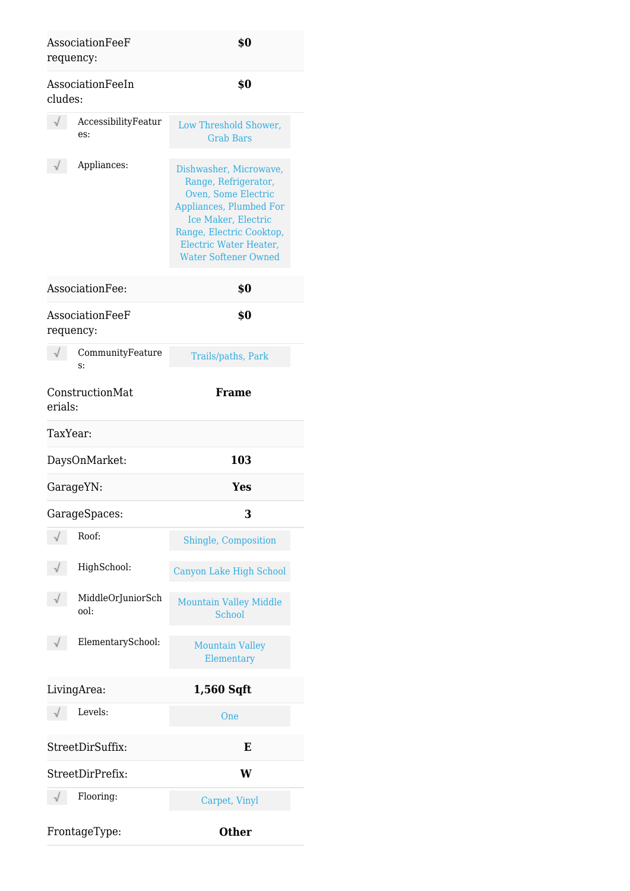| AssociationFeeF<br>requency: | \$0                                                                                                                                                                                                          |
|------------------------------|--------------------------------------------------------------------------------------------------------------------------------------------------------------------------------------------------------------|
| AssociationFeeIn<br>cludes:  | \$0                                                                                                                                                                                                          |
| AccessibilityFeatur<br>es:   | Low Threshold Shower,<br><b>Grab Bars</b>                                                                                                                                                                    |
| Appliances:                  | Dishwasher, Microwave,<br>Range, Refrigerator,<br>Oven, Some Electric<br>Appliances, Plumbed For<br>Ice Maker, Electric<br>Range, Electric Cooktop,<br>Electric Water Heater,<br><b>Water Softener Owned</b> |
| AssociationFee:              | \$0                                                                                                                                                                                                          |
| AssociationFeeF<br>requency: | \$0                                                                                                                                                                                                          |
| CommunityFeature<br>S:       | Trails/paths, Park                                                                                                                                                                                           |
| ConstructionMat<br>erials:   | <b>Frame</b>                                                                                                                                                                                                 |
| TaxYear:                     |                                                                                                                                                                                                              |
| DaysOnMarket:                | 103                                                                                                                                                                                                          |
| GarageYN:                    | Yes                                                                                                                                                                                                          |
| GarageSpaces:                | 3                                                                                                                                                                                                            |
| Roof:                        | Shingle, Composition                                                                                                                                                                                         |
| HighSchool:                  | Canyon Lake High School                                                                                                                                                                                      |
| MiddleOrJuniorSch<br>ool:    | <b>Mountain Valley Middle</b><br>School                                                                                                                                                                      |
| ElementarySchool:            | <b>Mountain Valley</b><br>Elementary                                                                                                                                                                         |
| LivingArea:                  | 1,560 Sqft                                                                                                                                                                                                   |
| Levels:                      | One                                                                                                                                                                                                          |
| StreetDirSuffix:             | Е                                                                                                                                                                                                            |
| StreetDirPrefix:             | W                                                                                                                                                                                                            |
| Flooring:                    | Carpet, Vinyl                                                                                                                                                                                                |
| FrontageType:                | <b>Other</b>                                                                                                                                                                                                 |